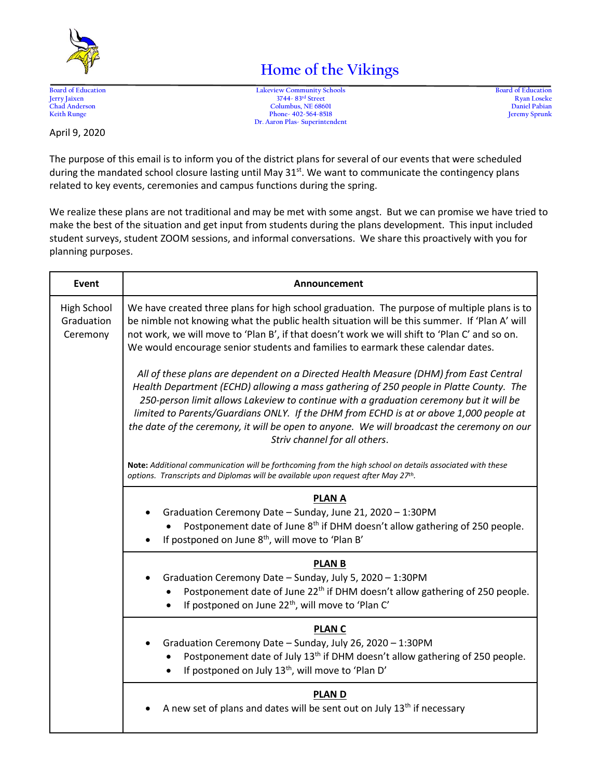

## **Home of the Vikings**

Board of Education<br> **Board of Education**<br>
Board of Education<br> **Board of Education**<br>
Board of Education<br>
Board of Education<br>
Ryan Loseke<br>
Columbus, NE 68601<br>
Daniel Pabian **Jerry Jail Street**<br> **Jerry Jail Street**<br> **Street Band Daniel Pabian Chad Anderson Columbus, NE 68601 Daniel Pabian Keith Runge Phone- 402-564-8518 Jeremy Sprunk Dr. Aaron Plas- Superintendent**

April 9, 2020

The purpose of this email is to inform you of the district plans for several of our events that were scheduled during the mandated school closure lasting until May 31<sup>st</sup>. We want to communicate the contingency plans related to key events, ceremonies and campus functions during the spring.

We realize these plans are not traditional and may be met with some angst. But we can promise we have tried to make the best of the situation and get input from students during the plans development. This input included student surveys, student ZOOM sessions, and informal conversations. We share this proactively with you for planning purposes.

| <b>Event</b>                          | Announcement                                                                                                                                                                                                                                                                                                                                                                                                                                                                                       |
|---------------------------------------|----------------------------------------------------------------------------------------------------------------------------------------------------------------------------------------------------------------------------------------------------------------------------------------------------------------------------------------------------------------------------------------------------------------------------------------------------------------------------------------------------|
| High School<br>Graduation<br>Ceremony | We have created three plans for high school graduation. The purpose of multiple plans is to<br>be nimble not knowing what the public health situation will be this summer. If 'Plan A' will<br>not work, we will move to 'Plan B', if that doesn't work we will shift to 'Plan C' and so on.<br>We would encourage senior students and families to earmark these calendar dates.                                                                                                                   |
|                                       | All of these plans are dependent on a Directed Health Measure (DHM) from East Central<br>Health Department (ECHD) allowing a mass gathering of 250 people in Platte County. The<br>250-person limit allows Lakeview to continue with a graduation ceremony but it will be<br>limited to Parents/Guardians ONLY. If the DHM from ECHD is at or above 1,000 people at<br>the date of the ceremony, it will be open to anyone. We will broadcast the ceremony on our<br>Striv channel for all others. |
|                                       | Note: Additional communication will be forthcoming from the high school on details associated with these<br>options. Transcripts and Diplomas will be available upon request after May 27th.                                                                                                                                                                                                                                                                                                       |
|                                       | <b>PLAN A</b><br>Graduation Ceremony Date - Sunday, June 21, 2020 - 1:30PM<br>Postponement date of June 8 <sup>th</sup> if DHM doesn't allow gathering of 250 people.<br>If postponed on June 8 <sup>th</sup> , will move to 'Plan B'                                                                                                                                                                                                                                                              |
|                                       | <b>PLAN B</b><br>Graduation Ceremony Date - Sunday, July 5, 2020 - 1:30PM<br>Postponement date of June 22 <sup>th</sup> if DHM doesn't allow gathering of 250 people.<br>If postponed on June 22 <sup>th</sup> , will move to 'Plan C'                                                                                                                                                                                                                                                             |
|                                       | <b>PLANC</b><br>Graduation Ceremony Date - Sunday, July 26, 2020 - 1:30PM<br>Postponement date of July 13 <sup>th</sup> if DHM doesn't allow gathering of 250 people.<br>If postponed on July 13 <sup>th</sup> , will move to 'Plan D'                                                                                                                                                                                                                                                             |
|                                       | <b>PLAND</b><br>A new set of plans and dates will be sent out on July 13 <sup>th</sup> if necessary                                                                                                                                                                                                                                                                                                                                                                                                |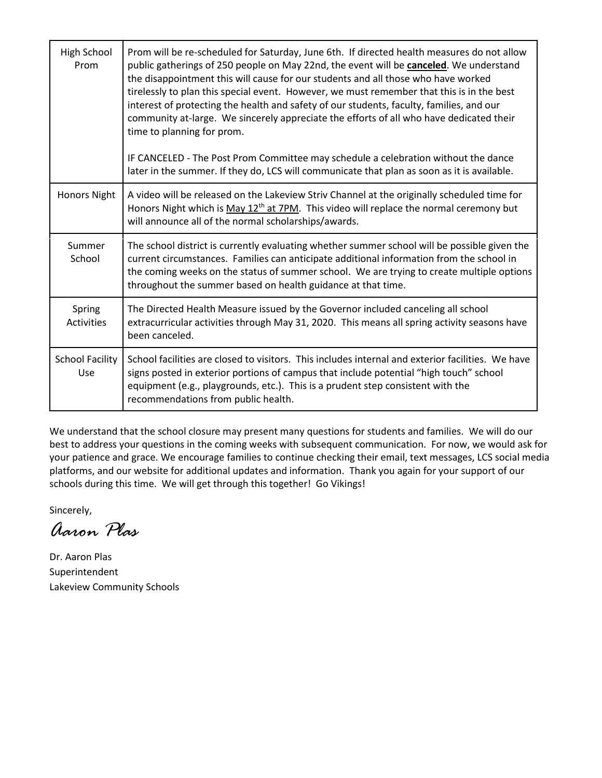| High School<br>Prom                  | Prom will be re-scheduled for Saturday, June 6th. If directed health measures do not allow<br>public gatherings of 250 people on May 22nd, the event will be <b>canceled</b> . We understand<br>the disappointment this will cause for our students and all those who have worked<br>tirelessly to plan this special event. However, we must remember that this is in the best<br>interest of protecting the health and safety of our students, faculty, families, and our<br>community at-large. We sincerely appreciate the efforts of all who have dedicated their<br>time to planning for prom.<br>IF CANCELED - The Post Prom Committee may schedule a celebration without the dance<br>later in the summer. If they do, LCS will communicate that plan as soon as it is available. |
|--------------------------------------|------------------------------------------------------------------------------------------------------------------------------------------------------------------------------------------------------------------------------------------------------------------------------------------------------------------------------------------------------------------------------------------------------------------------------------------------------------------------------------------------------------------------------------------------------------------------------------------------------------------------------------------------------------------------------------------------------------------------------------------------------------------------------------------|
| <b>Honors Night</b>                  | A video will be released on the Lakeview Striv Channel at the originally scheduled time for<br>Honors Night which is May 12 <sup>th</sup> at 7PM. This video will replace the normal ceremony but<br>will announce all of the normal scholarships/awards.                                                                                                                                                                                                                                                                                                                                                                                                                                                                                                                                |
| Summer<br>School                     | The school district is currently evaluating whether summer school will be possible given the<br>current circumstances. Families can anticipate additional information from the school in<br>the coming weeks on the status of summer school. We are trying to create multiple options<br>throughout the summer based on health guidance at that time.                                                                                                                                                                                                                                                                                                                                                                                                                                    |
| Spring<br>Activities                 | The Directed Health Measure issued by the Governor included canceling all school<br>extracurricular activities through May 31, 2020. This means all spring activity seasons have<br>been canceled.                                                                                                                                                                                                                                                                                                                                                                                                                                                                                                                                                                                       |
| <b>School Facility</b><br><b>Use</b> | School facilities are closed to visitors. This includes internal and exterior facilities. We have<br>signs posted in exterior portions of campus that include potential "high touch" school<br>equipment (e.g., playgrounds, etc.). This is a prudent step consistent with the<br>recommendations from public health.                                                                                                                                                                                                                                                                                                                                                                                                                                                                    |

We understand that the school closure may present many questions for students and families. We will do our best to address your questions in the coming weeks with subsequent communication. For now, we would ask for your patience and grace. We encourage families to continue checking their email, text messages, LCS social media platforms, and our website for additional updates and information. Thank you again for your support of our schools during this time. We will get through this together! Go Vikings!

Sincerely,

*Aaron Plas*

Dr. Aaron Plas Superintendent Lakeview Community Schools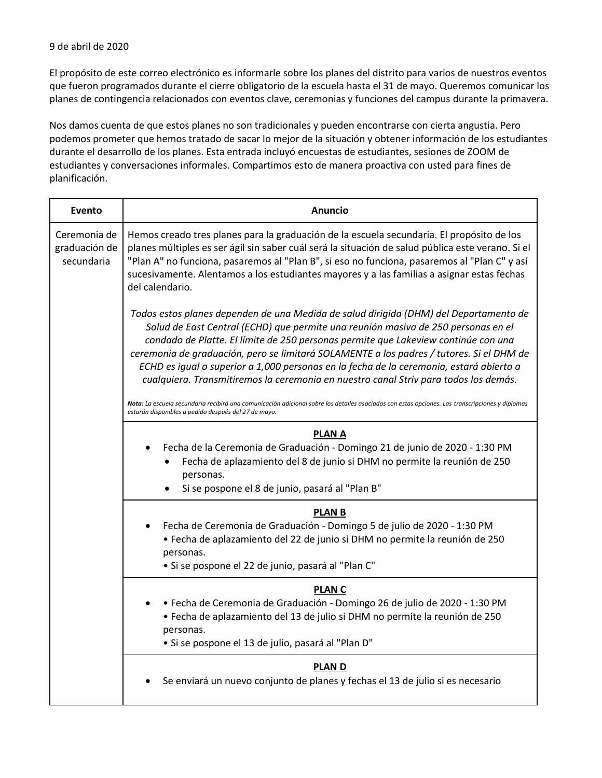El propósito de este correo electrónico es informarle sobre los planes del distrito para varios de nuestros eventos que fueron programados durante el cierre obligatorio de la escuela hasta el 31 de mayo. Queremos comunicar los planes de contingencia relacionados con eventos clave, ceremonias y funciones del campus durante la primavera.

Nos damos cuenta de que estos planes no son tradicionales y pueden encontrarse con cierta angustia. Pero podemos prometer que hemos tratado de sacar lo mejor de la situación y obtener información de los estudiantes durante el desarrollo de los planes. Esta entrada incluyó encuestas de estudiantes, sesiones de ZOOM de estudiantes y conversaciones informales. Compartimos esto de manera proactiva con usted para fines de planificación.

| Evento                                      | <b>Anuncio</b>                                                                                                                                                                                                                                                                                                                                                                                                                                                                                                                                                                                                                                                                                                                                             |
|---------------------------------------------|------------------------------------------------------------------------------------------------------------------------------------------------------------------------------------------------------------------------------------------------------------------------------------------------------------------------------------------------------------------------------------------------------------------------------------------------------------------------------------------------------------------------------------------------------------------------------------------------------------------------------------------------------------------------------------------------------------------------------------------------------------|
| Ceremonia de<br>graduación de<br>secundaria | Hemos creado tres planes para la graduación de la escuela secundaria. El propósito de los<br>planes múltiples es ser ágil sin saber cuál será la situación de salud pública este verano. Si el<br>"Plan A" no funciona, pasaremos al "Plan B", si eso no funciona, pasaremos al "Plan C" y así<br>sucesivamente. Alentamos a los estudiantes mayores y a las familias a asignar estas fechas<br>del calendario.                                                                                                                                                                                                                                                                                                                                            |
|                                             | Todos estos planes dependen de una Medida de salud dirigida (DHM) del Departamento de<br>Salud de East Central (ECHD) que permite una reunión masiva de 250 personas en el<br>condado de Platte. El límite de 250 personas permite que Lakeview continúe con una<br>ceremonia de graduación, pero se limitará SOLAMENTE a los padres / tutores. Si el DHM de<br>ECHD es igual o superior a 1,000 personas en la fecha de la ceremonia, estará abierto a<br>cualquiera. Transmitiremos la ceremonia en nuestro canal Striv para todos los demás.<br>Nota: La escuela secundaria recibirá una comunicación adicional sobre los detalles asociados con estas opciones. Las transcripciones y diplomas<br>estarán disponibles a pedido después del 27 de mayo. |
|                                             | <b>PLAN A</b><br>Fecha de la Ceremonia de Graduación - Domingo 21 de junio de 2020 - 1:30 PM<br>Fecha de aplazamiento del 8 de junio si DHM no permite la reunión de 250<br>personas.<br>Si se pospone el 8 de junio, pasará al "Plan B"                                                                                                                                                                                                                                                                                                                                                                                                                                                                                                                   |
|                                             | <b>PLAN B</b><br>Fecha de Ceremonia de Graduación - Domingo 5 de julio de 2020 - 1:30 PM<br>· Fecha de aplazamiento del 22 de junio si DHM no permite la reunión de 250<br>personas.<br>· Si se pospone el 22 de junio, pasará al "Plan C"                                                                                                                                                                                                                                                                                                                                                                                                                                                                                                                 |
|                                             | <b>PLANC</b><br>· Fecha de Ceremonia de Graduación - Domingo 26 de julio de 2020 - 1:30 PM<br>· Fecha de aplazamiento del 13 de julio si DHM no permite la reunión de 250<br>personas.<br>• Si se pospone el 13 de julio, pasará al "Plan D"                                                                                                                                                                                                                                                                                                                                                                                                                                                                                                               |
|                                             | <b>PLAND</b><br>Se enviará un nuevo conjunto de planes y fechas el 13 de julio si es necesario                                                                                                                                                                                                                                                                                                                                                                                                                                                                                                                                                                                                                                                             |